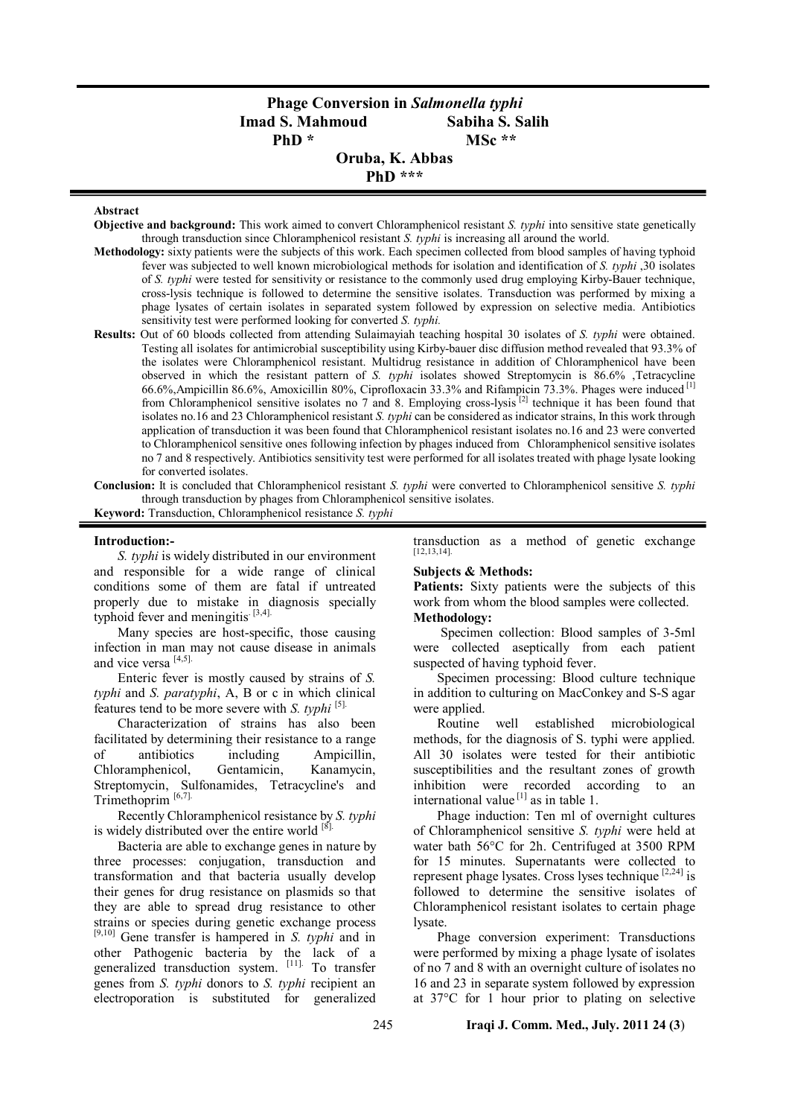# **Phage Conversion in** *Salmonella typhi* **Imad S. Mahmoud Sabiha S. Salih**  PhD \* MSc \*\*

**Oruba, K. Abbas PhD \*\*\***

#### **Abstract**

- **Objective and background:** This work aimed to convert Chloramphenicol resistant *S. typhi* into sensitive state genetically through transduction since Chloramphenicol resistant *S. typhi* is increasing all around the world.
- **Methodology:** sixty patients were the subjects of this work. Each specimen collected from blood samples of having typhoid fever was subjected to well known microbiological methods for isolation and identification of *S. typhi* ,30 isolates of *S. typhi* were tested for sensitivity or resistance to the commonly used drug employing Kirby-Bauer technique, cross-lysis technique is followed to determine the sensitive isolates. Transduction was performed by mixing a phage lysates of certain isolates in separated system followed by expression on selective media. Antibiotics sensitivity test were performed looking for converted *S. typhi.*
- **Results:** Out of 60 bloods collected from attending Sulaimayiah teaching hospital 30 isolates of *S. typhi* were obtained. Testing all isolates for antimicrobial susceptibility using Kirby-bauer disc diffusion method revealed that 93.3% of the isolates were Chloramphenicol resistant. Multidrug resistance in addition of Chloramphenicol have been observed in which the resistant pattern of *S. typhi* isolates showed Streptomycin is 86.6% ,Tetracycline 66.6%,Ampicillin 86.6%, Amoxicillin 80%, Ciprofloxacin 33.3% and Rifampicin 73.3%. Phages were induced [1] from Chloramphenicol sensitive isolates no 7 and 8. Employing cross-lysis<sup>[2]</sup> technique it has been found that isolates no.16 and 23 Chloramphenicol resistant *S. typhi* can be considered as indicator strains, In this work through application of transduction it was been found that Chloramphenicol resistant isolates no.16 and 23 were converted to Chloramphenicol sensitive ones following infection by phages induced from Chloramphenicol sensitive isolates no 7 and 8 respectively. Antibiotics sensitivity test were performed for all isolates treated with phage lysate looking for converted isolates.
- **Conclusion:** It is concluded that Chloramphenicol resistant *S. typhi* were converted to Chloramphenicol sensitive *S. typhi* through transduction by phages from Chloramphenicol sensitive isolates.

**Keyword:** Transduction, Chloramphenicol resistance *S. typhi*

#### **Introduction:-**

*S. typhi* is widely distributed in our environment and responsible for a wide range of clinical conditions some of them are fatal if untreated properly due to mistake in diagnosis specially typhoid fever and meningitis.  $[3,4]$ .

Many species are host-specific, those causing infection in man may not cause disease in animals and vice versa [4,5].

Enteric fever is mostly caused by strains of *S. typhi* and *S. paratyphi*, A, B or c in which clinical features tend to be more severe with *S. typhi* [5].

Characterization of strains has also been facilitated by determining their resistance to a range of antibiotics including Ampicillin, Chloramphenicol, Gentamicin, Kanamycin, Streptomycin, Sulfonamides, Tetracycline's and Trimethoprim [6,7].

Recently Chloramphenicol resistance by *S. typhi* is widely distributed over the entire world  $[8]$ .

Bacteria are able to exchange genes in nature by three processes: conjugation, transduction and transformation and that bacteria usually develop their genes for drug resistance on plasmids so that they are able to spread drug resistance to other strains or species during genetic exchange process [9,10] Gene transfer is hampered in *S. typhi* and in other Pathogenic bacteria by the lack of a generalized transduction system. [11]. To transfer genes from *S. typhi* donors to *S. typhi* recipient an electroporation is substituted for generalized transduction as a method of genetic exchange [12,13,14].

### **Subjects & Methods:**

**Patients:** Sixty patients were the subjects of this work from whom the blood samples were collected. **Methodology:**

Specimen collection: Blood samples of 3-5ml were collected aseptically from each patient suspected of having typhoid fever.

Specimen processing: Blood culture technique in addition to culturing on MacConkey and S-S agar were applied.

Routine well established microbiological methods, for the diagnosis of S. typhi were applied. All 30 isolates were tested for their antibiotic susceptibilities and the resultant zones of growth inhibition were recorded according to an international value  $^{[1]}$  as in table 1.

Phage induction: Ten ml of overnight cultures of Chloramphenicol sensitive *S. typhi* were held at water bath 56°C for 2h. Centrifuged at 3500 RPM for 15 minutes. Supernatants were collected to represent phage lysates. Cross lyses technique  $[2,24]$  is followed to determine the sensitive isolates of Chloramphenicol resistant isolates to certain phage lysate.

Phage conversion experiment: Transductions were performed by mixing a phage lysate of isolates of no 7 and 8 with an overnight culture of isolates no 16 and 23 in separate system followed by expression at 37°C for 1 hour prior to plating on selective

### 245 **Iraqi J. Comm. Med., July. 2011 24 (3**)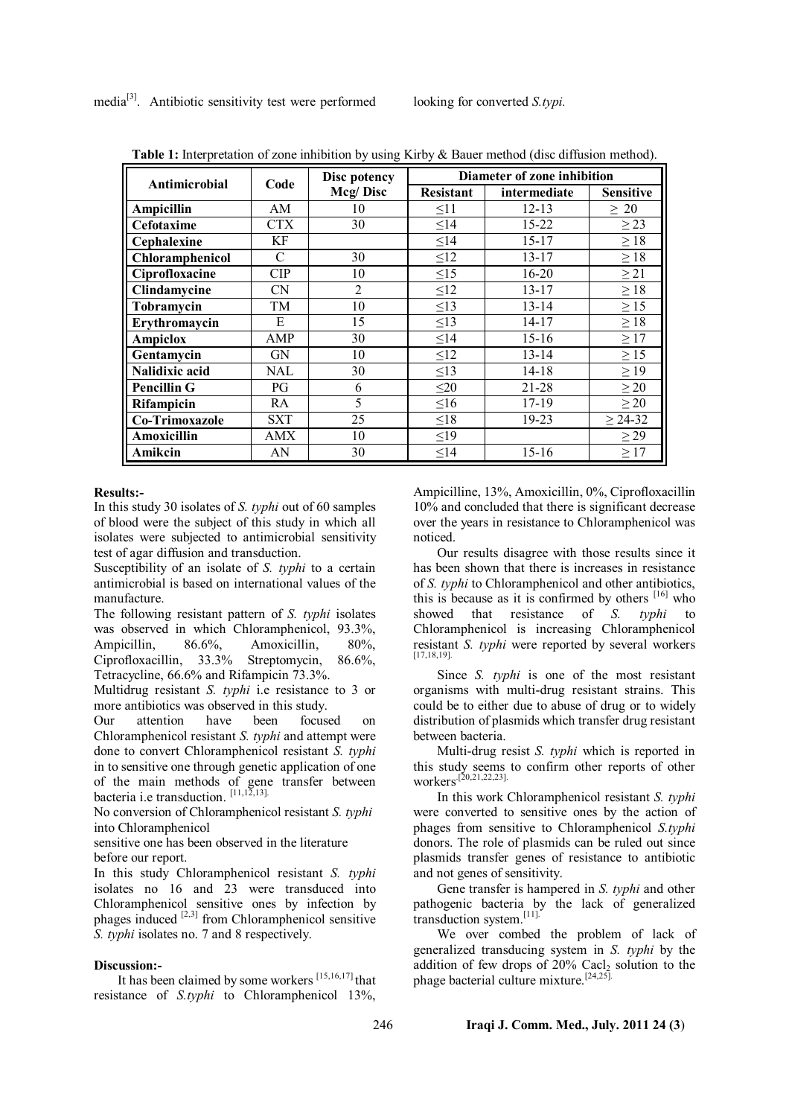| Antimicrobial      | Code          | Disc potency   | Diameter of zone inhibition |              |                  |
|--------------------|---------------|----------------|-----------------------------|--------------|------------------|
|                    |               | Mcg/Disc       | <b>Resistant</b>            | intermediate | <b>Sensitive</b> |
| Ampicillin         | AM            | 10             | $\leq11$                    | $12 - 13$    | $\geq 20$        |
| Cefotaxime         | CTX           | 30             | $\leq$ 14                   | $15 - 22$    | $\geq$ 23        |
| Cephalexine        | КF            |                | $\leq$ 14                   | $15 - 17$    | $\geq 18$        |
| Chloramphenicol    | $\mathcal{C}$ | 30             | $\leq$ 12                   | $13 - 17$    | $\geq 18$        |
| Ciprofloxacine     | CIP           | 10             | $\leq15$                    | $16 - 20$    | $\geq$ 21        |
| Clindamycine       | <b>CN</b>     | $\overline{2}$ | $\leq$ 12                   | 13-17        | $\geq 18$        |
| Tobramycin         | TM            | 10             | $\leq$ 13                   | $13 - 14$    | $\geq$ 15        |
| Erythromaycin      | E             | 15             | $\leq$ 13                   | $14 - 17$    | $\geq 18$        |
| <b>Ampiclox</b>    | AMP           | 30             | $\leq$ 14                   | $15 - 16$    | $\geq$ 17        |
| Gentamycin         | GN            | 10             | $\leq$ 12                   | $13 - 14$    | $\geq$ 15        |
| Nalidixic acid     | NAL           | 30             | $\leq$ 13                   | 14-18        | $\geq$ 19        |
| <b>Pencillin G</b> | PG            | 6              | $\leq$ 20                   | $21 - 28$    | $\geq$ 20        |
| <b>Rifampicin</b>  | RA            | 5              | $\leq 16$                   | 17-19        | $\geq$ 20        |
| Co-Trimoxazole     | <b>SXT</b>    | 25             | $\leq18$                    | 19-23        | $\geq 24 - 32$   |
| Amoxicillin        | AMX           | 10             | $\leq$ 19                   |              | $\geq$ 29        |
| Amikcin            | AN            | 30             | $\leq$ 14                   | $15 - 16$    | $\geq$ 17        |

Table 1: Interpretation of zone inhibition by using Kirby & Bauer method (disc diffusion method).

#### **Results:-**

In this study 30 isolates of *S. typhi* out of 60 samples of blood were the subject of this study in which all isolates were subjected to antimicrobial sensitivity test of agar diffusion and transduction.

Susceptibility of an isolate of *S. typhi* to a certain antimicrobial is based on international values of the manufacture.

The following resistant pattern of *S. typhi* isolates was observed in which Chloramphenicol, 93.3%,<br>Ampicillin. 86.6%. Amoxicillin. 80%. Ampicillin, 86.6%, Amoxicillin, 80%, Ciprofloxacillin, 33.3% Streptomycin, 86.6%, Tetracycline, 66.6% and Rifampicin 73.3%.

Multidrug resistant *S. typhi* i.e resistance to 3 or more antibiotics was observed in this study.

Our attention have been focused on Chloramphenicol resistant *S. typhi* and attempt were done to convert Chloramphenicol resistant *S. typhi* in to sensitive one through genetic application of one of the main methods of gene transfer between bacteria i.e transduction.  $[11,12,13]$ .

No conversion of Chloramphenicol resistant *S. typhi* into Chloramphenicol

sensitive one has been observed in the literature before our report.

In this study Chloramphenicol resistant *S. typhi* isolates no 16 and 23 were transduced into Chloramphenicol sensitive ones by infection by phages induced  $[2,3]$  from Chloramphenicol sensitive *S. typhi* isolates no. 7 and 8 respectively.

# **Discussion:-**

It has been claimed by some workers  $[15,16,17]$  that resistance of *S.typhi* to Chloramphenicol 13%,

Ampicilline, 13%, Amoxicillin, 0%, Ciprofloxacillin 10% and concluded that there is significant decrease over the years in resistance to Chloramphenicol was noticed.

Our results disagree with those results since it has been shown that there is increases in resistance of *S. typhi* to Chloramphenicol and other antibiotics, this is because as it is confirmed by others  $[16]$  who showed that resistance of *S. typhi* to Chloramphenicol is increasing Chloramphenicol resistant *S. typhi* were reported by several workers [17,18,19].

Since *S. typhi* is one of the most resistant organisms with multi-drug resistant strains. This could be to either due to abuse of drug or to widely distribution of plasmids which transfer drug resistant between bacteria.

Multi-drug resist *S. typhi* which is reported in this study seems to confirm other reports of other workers<sup>[20,21,22,23]</sup>.

In this work Chloramphenicol resistant *S. typhi* were converted to sensitive ones by the action of phages from sensitive to Chloramphenicol *S.typhi* donors. The role of plasmids can be ruled out since plasmids transfer genes of resistance to antibiotic and not genes of sensitivity.

Gene transfer is hampered in *S. typhi* and other pathogenic bacteria by the lack of generalized transduction system.<sup>[11]</sup>

We over combed the problem of lack of generalized transducing system in *S. typhi* by the addition of few drops of  $20\%$  Cacl<sub>2</sub> solution to the phage bacterial culture mixture.[24,25].